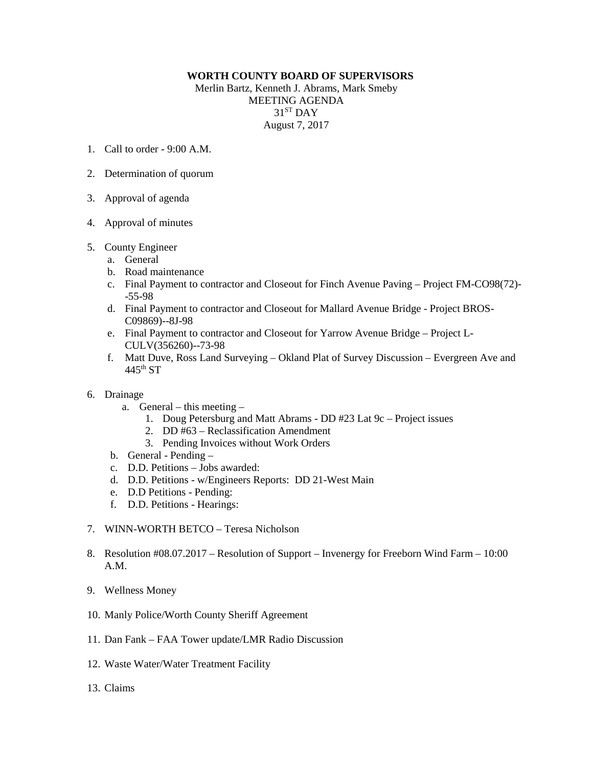## **WORTH COUNTY BOARD OF SUPERVISORS**

Merlin Bartz, Kenneth J. Abrams, Mark Smeby MEETING AGENDA  $31<sup>ST</sup>$  DAY August 7, 2017

- 1. Call to order 9:00 A.M.
- 2. Determination of quorum
- 3. Approval of agenda
- 4. Approval of minutes
- 5. County Engineer
	- a. General
	- b. Road maintenance
	- c. Final Payment to contractor and Closeout for Finch Avenue Paving Project FM-CO98(72)- -55-98
	- d. Final Payment to contractor and Closeout for Mallard Avenue Bridge Project BROS-C09869)--8J-98
	- e. Final Payment to contractor and Closeout for Yarrow Avenue Bridge Project L-CULV(356260)--73-98
	- f. Matt Duve, Ross Land Surveying Okland Plat of Survey Discussion Evergreen Ave and  $445<sup>th</sup>$  ST
- 6. Drainage
	- a. General this meeting
		- 1. Doug Petersburg and Matt Abrams DD #23 Lat 9c Project issues
		- 2. DD #63 Reclassification Amendment
		- 3. Pending Invoices without Work Orders
	- b. General Pending –
	- c. D.D. Petitions Jobs awarded:
	- d. D.D. Petitions w/Engineers Reports: DD 21-West Main
	- e. D.D Petitions Pending:
	- f. D.D. Petitions Hearings:
- 7. WINN-WORTH BETCO Teresa Nicholson
- 8. Resolution #08.07.2017 Resolution of Support Invenergy for Freeborn Wind Farm 10:00 A.M.
- 9. Wellness Money
- 10. Manly Police/Worth County Sheriff Agreement
- 11. Dan Fank FAA Tower update/LMR Radio Discussion
- 12. Waste Water/Water Treatment Facility
- 13. Claims